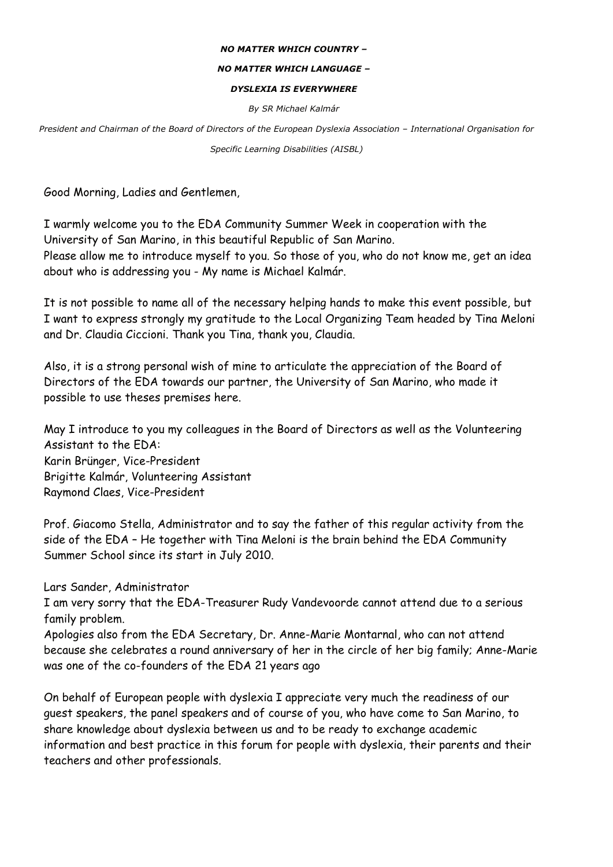## *NO MATTER WHICH COUNTRY –*

## *NO MATTER WHICH LANGUAGE –*

## *DYSLEXIA IS EVERYWHERE*

*By SR Michael Kalmár* 

*President and Chairman of the Board of Directors of the European Dyslexia Association – International Organisation for Specific Learning Disabilities (AISBL)* 

Good Morning, Ladies and Gentlemen,

I warmly welcome you to the EDA Community Summer Week in cooperation with the University of San Marino, in this beautiful Republic of San Marino. Please allow me to introduce myself to you. So those of you, who do not know me, get an idea about who is addressing you - My name is Michael Kalmár.

It is not possible to name all of the necessary helping hands to make this event possible, but I want to express strongly my gratitude to the Local Organizing Team headed by Tina Meloni and Dr. Claudia Ciccioni. Thank you Tina, thank you, Claudia.

Also, it is a strong personal wish of mine to articulate the appreciation of the Board of Directors of the EDA towards our partner, the University of San Marino, who made it possible to use theses premises here.

May I introduce to you my colleagues in the Board of Directors as well as the Volunteering Assistant to the EDA: Karin Brünger, Vice-President Brigitte Kalmár, Volunteering Assistant Raymond Claes, Vice-President

Prof. Giacomo Stella, Administrator and to say the father of this regular activity from the side of the EDA – He together with Tina Meloni is the brain behind the EDA Community Summer School since its start in July 2010.

Lars Sander, Administrator

I am very sorry that the EDA-Treasurer Rudy Vandevoorde cannot attend due to a serious family problem.

Apologies also from the EDA Secretary, Dr. Anne-Marie Montarnal, who can not attend because she celebrates a round anniversary of her in the circle of her big family; Anne-Marie was one of the co-founders of the EDA 21 years ago

On behalf of European people with dyslexia I appreciate very much the readiness of our guest speakers, the panel speakers and of course of you, who have come to San Marino, to share knowledge about dyslexia between us and to be ready to exchange academic information and best practice in this forum for people with dyslexia, their parents and their teachers and other professionals.